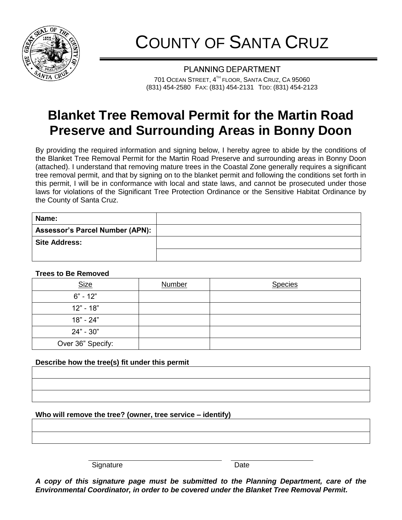

## COUNTY OF SANTA CRUZ

**PLANNING DEPARTMENT** 701 OCEAN STREET, 4<sup>th</sup> FLOOR, SANTA CRUZ, CA 95060 (831) 454-2580 FAX: (831) 454-2131 TDD: (831) 454-2123

## **Blanket Tree Removal Permit for the Martin Road Preserve and Surrounding Areas in Bonny Doon**

By providing the required information and signing below, I hereby agree to abide by the conditions of the Blanket Tree Removal Permit for the Martin Road Preserve and surrounding areas in Bonny Doon (attached). I understand that removing mature trees in the Coastal Zone generally requires a significant tree removal permit, and that by signing on to the blanket permit and following the conditions set forth in this permit, I will be in conformance with local and state laws, and cannot be prosecuted under those laws for violations of the Significant Tree Protection Ordinance or the Sensitive Habitat Ordinance by the County of Santa Cruz.

| Name:                                  |  |
|----------------------------------------|--|
| <b>Assessor's Parcel Number (APN):</b> |  |
| <b>Site Address:</b>                   |  |
|                                        |  |

**Trees to Be Removed**

| <b>Size</b>       | Number | <b>Species</b> |
|-------------------|--------|----------------|
| $6" - 12"$        |        |                |
| $12" - 18"$       |        |                |
| 18" - 24"         |        |                |
| $24" - 30"$       |        |                |
| Over 36" Specify: |        |                |

## **Describe how the tree(s) fit under this permit**

**Who will remove the tree? (owner, tree service – identify)**

Signature Date Date

*A copy of this signature page must be submitted to the Planning Department, care of the Environmental Coordinator, in order to be covered under the Blanket Tree Removal Permit.*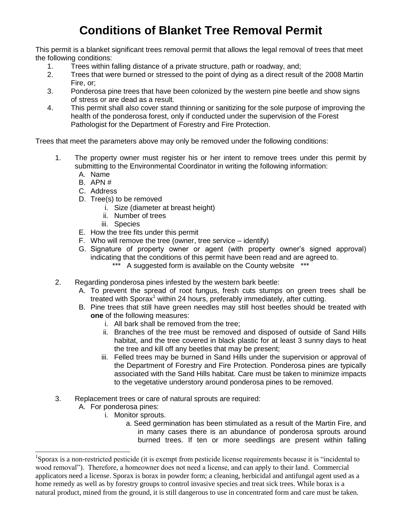## **Conditions of Blanket Tree Removal Permit**

This permit is a blanket significant trees removal permit that allows the legal removal of trees that meet the following conditions:

- 1. Trees within falling distance of a private structure, path or roadway, and;
- 2. Trees that were burned or stressed to the point of dying as a direct result of the 2008 Martin Fire, or;
- 3. Ponderosa pine trees that have been colonized by the western pine beetle and show signs of stress or are dead as a result.
- 4. This permit shall also cover stand thinning or sanitizing for the sole purpose of improving the health of the ponderosa forest, only if conducted under the supervision of the Forest Pathologist for the Department of Forestry and Fire Protection.

Trees that meet the parameters above may only be removed under the following conditions:

- 1. The property owner must register his or her intent to remove trees under this permit by submitting to the Environmental Coordinator in writing the following information:
	- A. Name
	- B. APN #
	- C. Address
	- D. Tree(s) to be removed
		- i. Size (diameter at breast height)
		- ii. Number of trees
		- iii. Species
	- E. How the tree fits under this permit
	- F. Who will remove the tree (owner, tree service identify)
	- G. Signature of property owner or agent (with property owner's signed approval) indicating that the conditions of this permit have been read and are agreed to.
		- \*\*\* A suggested form is available on the County website \*\*\*
- 2. Regarding ponderosa pines infested by the western bark beetle:
	- A. To prevent the spread of root fungus, fresh cuts stumps on green trees shall be treated with Sporax<sup>1</sup> within 24 hours, preferably immediately, after cutting.
	- B. Pine trees that still have green needles may still host beetles should be treated with **one** of the following measures:
		- i. All bark shall be removed from the tree;
		- ii. Branches of the tree must be removed and disposed of outside of Sand Hills habitat, and the tree covered in black plastic for at least 3 sunny days to heat the tree and kill off any beetles that may be present;
		- iii. Felled trees may be burned in Sand Hills under the supervision or approval of the Department of Forestry and Fire Protection. Ponderosa pines are typically associated with the Sand Hills habitat. Care must be taken to minimize impacts to the vegetative understory around ponderosa pines to be removed.
- 3. Replacement trees or care of natural sprouts are required:
	- A. For ponderosa pines:

 $\overline{\phantom{a}}$ 

- i. Monitor sprouts.
	- a. Seed germination has been stimulated as a result of the Martin Fire, and in many cases there is an abundance of ponderosa sprouts around burned trees. If ten or more seedlings are present within falling

<sup>&</sup>lt;sup>1</sup>Sporax is a non-restricted pesticide (it is exempt from pesticide license requirements because it is "incidental to wood removal"). Therefore, a homeowner does not need a license, and can apply to their land. Commercial applicators need a license. Sporax is borax in powder form; a cleaning, herbicidal and antifungal agent used as a home remedy as well as by forestry groups to control invasive species and treat sick trees. While borax is a natural product, mined from the ground, it is still dangerous to use in concentrated form and care must be taken.